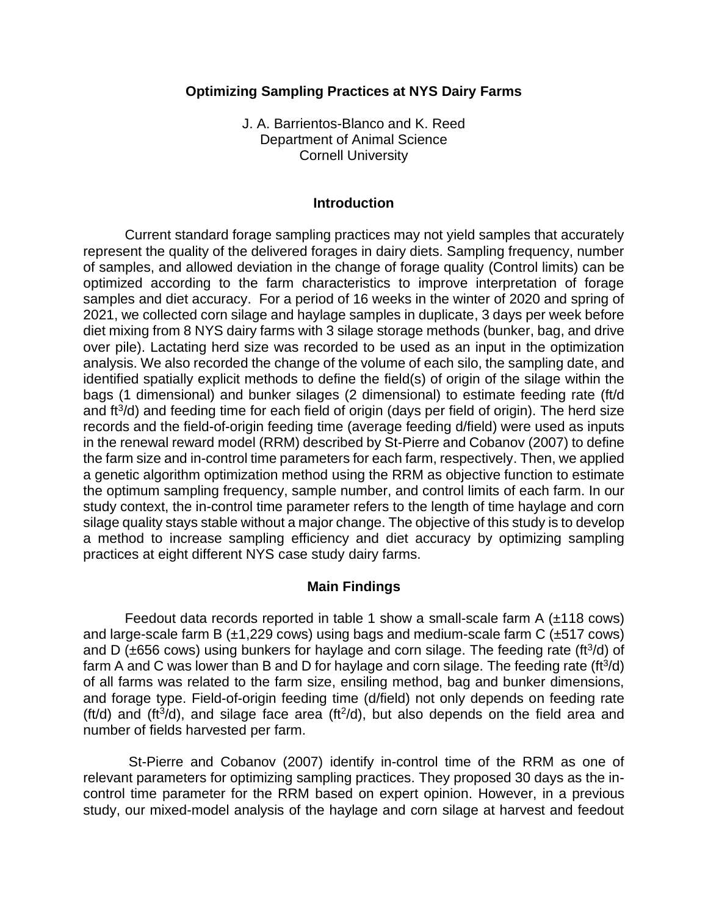## **Optimizing Sampling Practices at NYS Dairy Farms**

J. A. Barrientos-Blanco and K. Reed Department of Animal Science Cornell University

#### **Introduction**

Current standard forage sampling practices may not yield samples that accurately represent the quality of the delivered forages in dairy diets. Sampling frequency, number of samples, and allowed deviation in the change of forage quality (Control limits) can be optimized according to the farm characteristics to improve interpretation of forage samples and diet accuracy. For a period of 16 weeks in the winter of 2020 and spring of 2021, we collected corn silage and haylage samples in duplicate, 3 days per week before diet mixing from 8 NYS dairy farms with 3 silage storage methods (bunker, bag, and drive over pile). Lactating herd size was recorded to be used as an input in the optimization analysis. We also recorded the change of the volume of each silo, the sampling date, and identified spatially explicit methods to define the field(s) of origin of the silage within the bags (1 dimensional) and bunker silages (2 dimensional) to estimate feeding rate (ft/d and ft<sup>3</sup>/d) and feeding time for each field of origin (days per field of origin). The herd size records and the field-of-origin feeding time (average feeding d/field) were used as inputs in the renewal reward model (RRM) described by St-Pierre and Cobanov (2007) to define the farm size and in-control time parameters for each farm, respectively. Then, we applied a genetic algorithm optimization method using the RRM as objective function to estimate the optimum sampling frequency, sample number, and control limits of each farm. In our study context, the in-control time parameter refers to the length of time haylage and corn silage quality stays stable without a major change. The objective of this study is to develop a method to increase sampling efficiency and diet accuracy by optimizing sampling practices at eight different NYS case study dairy farms.

#### **Main Findings**

Feedout data records reported in table 1 show a small-scale farm A  $(\pm 118 \text{ cows})$ and large-scale farm B  $(\pm 1,229 \text{ cows})$  using bags and medium-scale farm C  $(\pm 517 \text{ cows})$ and D ( $\pm$ 656 cows) using bunkers for haylage and corn silage. The feeding rate (ft $3/$ d) of farm A and C was lower than B and D for haylage and corn silage. The feeding rate (ft $3/$ d) of all farms was related to the farm size, ensiling method, bag and bunker dimensions, and forage type. Field-of-origin feeding time (d/field) not only depends on feeding rate (ft/d) and (ft $3/$ d), and silage face area (ft $2/$ d), but also depends on the field area and number of fields harvested per farm.

St-Pierre and Cobanov (2007) identify in-control time of the RRM as one of relevant parameters for optimizing sampling practices. They proposed 30 days as the incontrol time parameter for the RRM based on expert opinion. However, in a previous study, our mixed-model analysis of the haylage and corn silage at harvest and feedout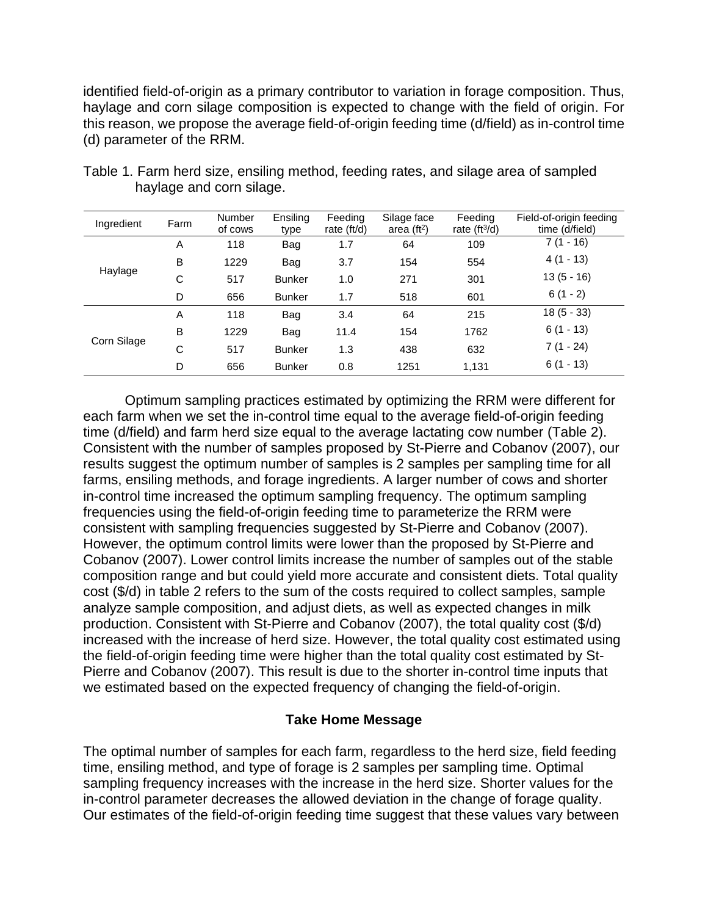identified field-of-origin as a primary contributor to variation in forage composition. Thus, haylage and corn silage composition is expected to change with the field of origin. For this reason, we propose the average field-of-origin feeding time (d/field) as in-control time (d) parameter of the RRM.

| Ingredient  | Farm | <b>Number</b><br>of cows | Ensiling<br>type | Feeding<br>rate (ft/d) | Silage face<br>area $(ft2)$ | Feeding<br>rate $(ft^3/d)$ | Field-of-origin feeding<br>time (d/field) |
|-------------|------|--------------------------|------------------|------------------------|-----------------------------|----------------------------|-------------------------------------------|
| Haylage     | A    | 118                      | Bag              | 1.7                    | 64                          | 109                        | 7 (1 - 16)                                |
|             | B    | 1229                     | Bag              | 3.7                    | 154                         | 554                        | $4(1 - 13)$                               |
|             | C    | 517                      | <b>Bunker</b>    | 1.0                    | 271                         | 301                        | $13(5 - 16)$                              |
|             | D    | 656                      | <b>Bunker</b>    | 1.7                    | 518                         | 601                        | $6(1 - 2)$                                |
| Corn Silage | A    | 118                      | Bag              | 3.4                    | 64                          | 215                        | $18(5 - 33)$                              |
|             | B    | 1229                     | Bag              | 11.4                   | 154                         | 1762                       | $6(1 - 13)$                               |
|             | C    | 517                      | <b>Bunker</b>    | 1.3                    | 438                         | 632                        | $7(1 - 24)$                               |
|             | D    | 656                      | <b>Bunker</b>    | 0.8                    | 1251                        | 1,131                      | $6(1 - 13)$                               |

Table 1. Farm herd size, ensiling method, feeding rates, and silage area of sampled haylage and corn silage.

Optimum sampling practices estimated by optimizing the RRM were different for each farm when we set the in-control time equal to the average field-of-origin feeding time (d/field) and farm herd size equal to the average lactating cow number (Table 2). Consistent with the number of samples proposed by St-Pierre and Cobanov (2007), our results suggest the optimum number of samples is 2 samples per sampling time for all farms, ensiling methods, and forage ingredients. A larger number of cows and shorter in-control time increased the optimum sampling frequency. The optimum sampling frequencies using the field-of-origin feeding time to parameterize the RRM were consistent with sampling frequencies suggested by St-Pierre and Cobanov (2007). However, the optimum control limits were lower than the proposed by St-Pierre and Cobanov (2007). Lower control limits increase the number of samples out of the stable composition range and but could yield more accurate and consistent diets. Total quality cost (\$/d) in table 2 refers to the sum of the costs required to collect samples, sample analyze sample composition, and adjust diets, as well as expected changes in milk production. Consistent with St-Pierre and Cobanov (2007), the total quality cost (\$/d) increased with the increase of herd size. However, the total quality cost estimated using the field-of-origin feeding time were higher than the total quality cost estimated by St-Pierre and Cobanov (2007). This result is due to the shorter in-control time inputs that we estimated based on the expected frequency of changing the field-of-origin.

# **Take Home Message**

The optimal number of samples for each farm, regardless to the herd size, field feeding time, ensiling method, and type of forage is 2 samples per sampling time. Optimal sampling frequency increases with the increase in the herd size. Shorter values for the in-control parameter decreases the allowed deviation in the change of forage quality. Our estimates of the field-of-origin feeding time suggest that these values vary between